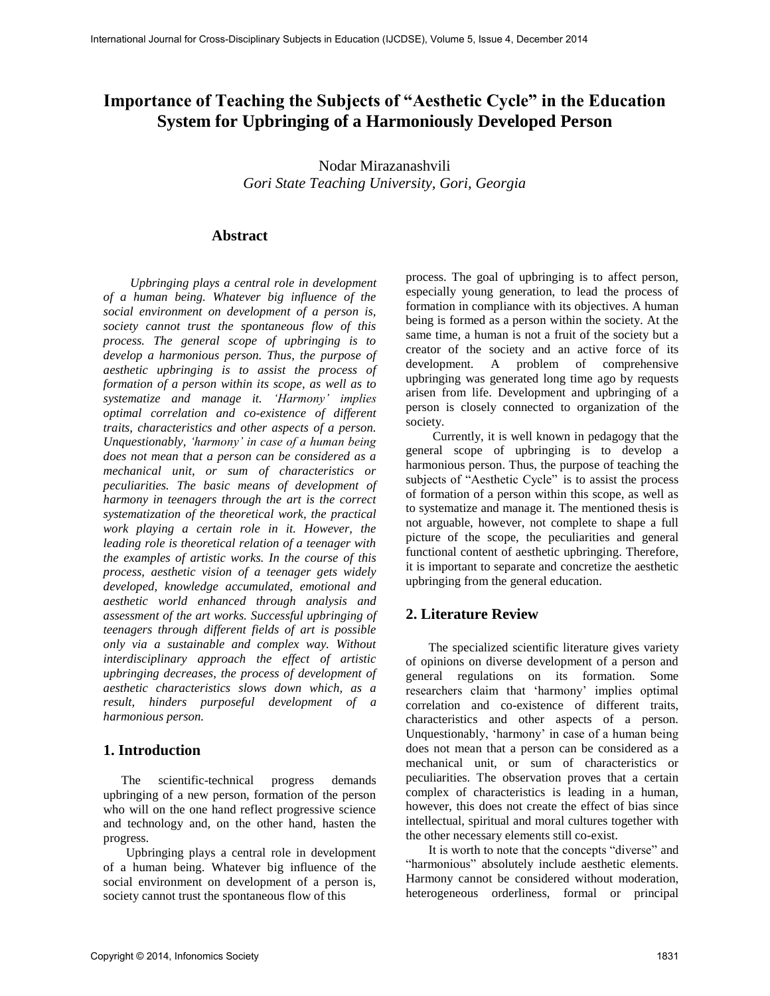# **Importance of Teaching the Subjects of "Aesthetic Cycle" in the Education System for Upbringing of a Harmoniously Developed Person**

Nodar Mirazanashvili *Gori State Teaching University, Gori, Georgia* 

### **Abstract**

*Upbringing plays a central role in development of a human being. Whatever big influence of the social environment on development of a person is, society cannot trust the spontaneous flow of this process. The general scope of upbringing is to develop a harmonious person. Thus, the purpose of aesthetic upbringing is to assist the process of formation of a person within its scope, as well as to systematize and manage it. 'Harmony' implies optimal correlation and co-existence of different traits, characteristics and other aspects of a person. Unquestionably, 'harmony' in case of a human being does not mean that a person can be considered as a mechanical unit, or sum of characteristics or peculiarities. The basic means of development of harmony in teenagers through the art is the correct systematization of the theoretical work, the practical work playing a certain role in it. However, the leading role is theoretical relation of a teenager with the examples of artistic works. In the course of this process, aesthetic vision of a teenager gets widely developed, knowledge accumulated, emotional and aesthetic world enhanced through analysis and assessment of the art works. Successful upbringing of teenagers through different fields of art is possible only via a sustainable and complex way. Without interdisciplinary approach the effect of artistic upbringing decreases, the process of development of aesthetic characteristics slows down which, as a result, hinders purposeful development of a harmonious person.* 

### **1. Introduction**

The scientific-technical progress demands upbringing of a new person, formation of the person who will on the one hand reflect progressive science and technology and, on the other hand, hasten the progress.

Upbringing plays a central role in development of a human being. Whatever big influence of the social environment on development of a person is, society cannot trust the spontaneous flow of this

process. The goal of upbringing is to affect person, especially young generation, to lead the process of formation in compliance with its objectives. A human being is formed as a person within the society. At the same time, a human is not a fruit of the society but a creator of the society and an active force of its development. A problem of comprehensive upbringing was generated long time ago by requests arisen from life. Development and upbringing of a person is closely connected to organization of the society.

Currently, it is well known in pedagogy that the general scope of upbringing is to develop a harmonious person. Thus, the purpose of teaching the subjects of "Aesthetic Cycle" is to assist the process of formation of a person within this scope, as well as to systematize and manage it. The mentioned thesis is not arguable, however, not complete to shape a full picture of the scope, the peculiarities and general functional content of aesthetic upbringing. Therefore, it is important to separate and concretize the aesthetic upbringing from the general education.

## **2. Literature Review**

The specialized scientific literature gives variety of opinions on diverse development of a person and general regulations on its formation. Some researchers claim that 'harmony' implies optimal correlation and co-existence of different traits, characteristics and other aspects of a person. Unquestionably, 'harmony' in case of a human being does not mean that a person can be considered as a mechanical unit, or sum of characteristics or peculiarities. The observation proves that a certain complex of characteristics is leading in a human, however, this does not create the effect of bias since intellectual, spiritual and moral cultures together with the other necessary elements still co-exist.

It is worth to note that the concepts "diverse" and "harmonious" absolutely include aesthetic elements. Harmony cannot be considered without moderation, heterogeneous orderliness, formal or principal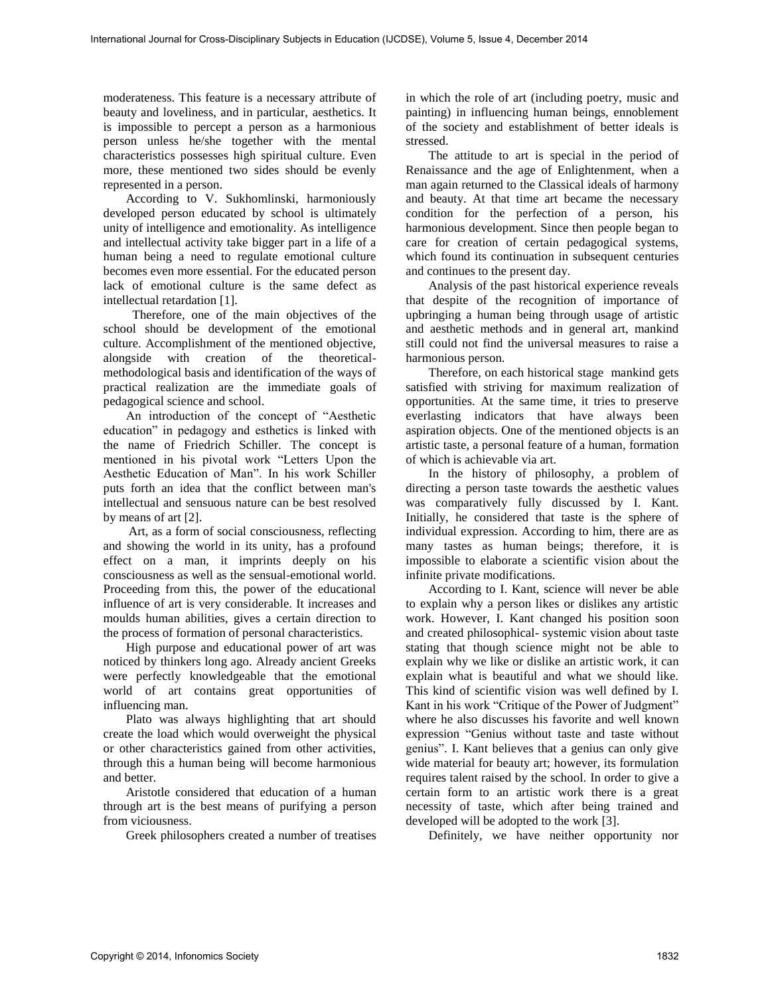moderateness. This feature is a necessary attribute of beauty and loveliness, and in particular, aesthetics. It is impossible to percept a person as a harmonious person unless he/she together with the mental characteristics possesses high spiritual culture. Even more, these mentioned two sides should be evenly represented in a person.

According to V. Sukhomlinski, harmoniously developed person educated by school is ultimately unity of intelligence and emotionality. As intelligence and intellectual activity take bigger part in a life of a human being a need to regulate emotional culture becomes even more essential. For the educated person lack of emotional culture is the same defect as intellectual retardation [1].

 Therefore, one of the main objectives of the school should be development of the emotional culture. Accomplishment of the mentioned objective, alongside with creation of the theoreticalmethodological basis and identification of the ways of practical realization are the immediate goals of pedagogical science and school.

An introduction of the concept of "Aesthetic education" in pedagogy and esthetics is linked with the name of Friedrich Schiller. The concept is mentioned in his pivotal work "Letters Upon the Aesthetic Education of Man". In his work Schiller puts forth an idea that the conflict between man's intellectual and sensuous nature can be best resolved by means of art [2].

 Art, as a form of social consciousness, reflecting and showing the world in its unity, has a profound effect on a man, it imprints deeply on his consciousness as well as the sensual-emotional world. Proceeding from this, the power of the educational influence of art is very considerable. It increases and moulds human abilities, gives a certain direction to the process of formation of personal characteristics.

High purpose and educational power of art was noticed by thinkers long ago. Already ancient Greeks were perfectly knowledgeable that the emotional world of art contains great opportunities of influencing man.

Plato was always highlighting that art should create the load which would overweight the physical or other characteristics gained from other activities, through this a human being will become harmonious and better.

Aristotle considered that education of a human through art is the best means of purifying a person from viciousness.

Greek philosophers created a number of treatises

in which the role of art (including poetry, music and painting) in influencing human beings, ennoblement of the society and establishment of better ideals is stressed.

The attitude to art is special in the period of Renaissance and the age of Enlightenment, when a man again returned to the Classical ideals of harmony and beauty. At that time art became the necessary condition for the perfection of a person, his harmonious development. Since then people began to care for creation of certain pedagogical systems, which found its continuation in subsequent centuries and continues to the present day.

Analysis of the past historical experience reveals that despite of the recognition of importance of upbringing a human being through usage of artistic and aesthetic methods and in general art, mankind still could not find the universal measures to raise a harmonious person.

Therefore, on each historical stage mankind gets satisfied with striving for maximum realization of opportunities. At the same time, it tries to preserve everlasting indicators that have always been aspiration objects. One of the mentioned objects is an artistic taste, a personal feature of a human, formation of which is achievable via art.

In the history of philosophy, a problem of directing a person taste towards the aesthetic values was comparatively fully discussed by I. Kant. Initially, he considered that taste is the sphere of individual expression. According to him, there are as many tastes as human beings; therefore, it is impossible to elaborate a scientific vision about the infinite private modifications.

According to I. Kant, science will never be able to explain why a person likes or dislikes any artistic work. However, I. Kant changed his position soon and created philosophical- systemic vision about taste stating that though science might not be able to explain why we like or dislike an artistic work, it can explain what is beautiful and what we should like. This kind of scientific vision was well defined by I. Kant in his work "Critique of the Power of Judgment" where he also discusses his favorite and well known expression "Genius without taste and taste without genius". I. Kant believes that a genius can only give wide material for beauty art; however, its formulation requires talent raised by the school. In order to give a certain form to an artistic work there is a great necessity of taste, which after being trained and developed will be adopted to the work [3].

Definitely, we have neither opportunity nor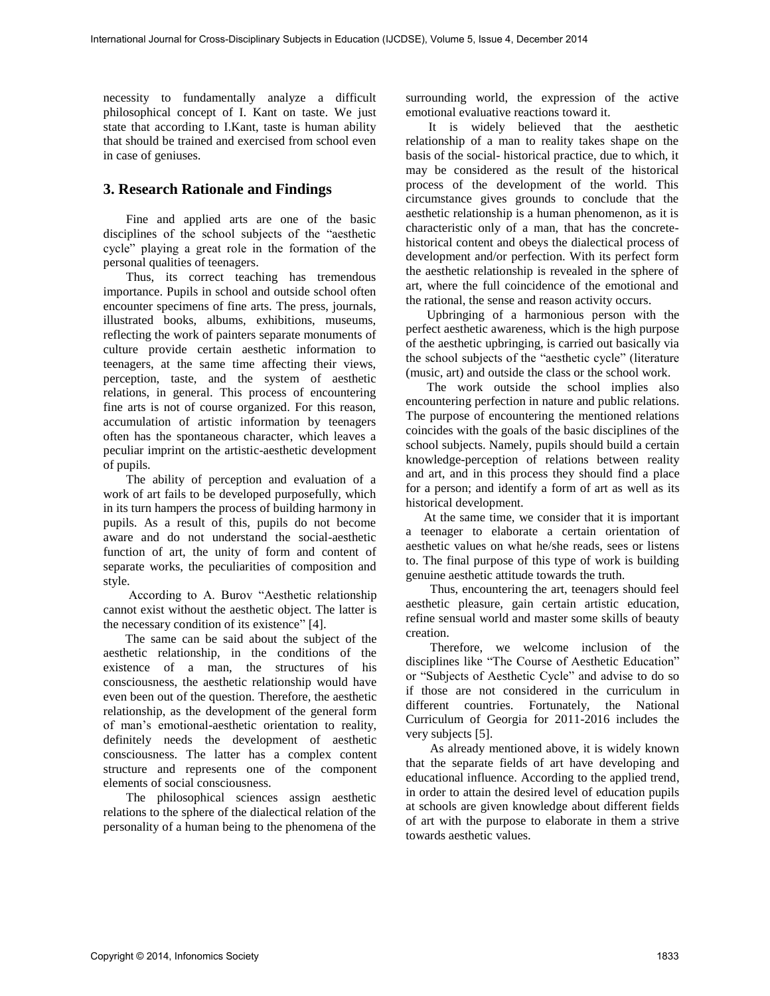necessity to fundamentally analyze a difficult philosophical concept of I. Kant on taste. We just state that according to I.Kant, taste is human ability that should be trained and exercised from school even in case of geniuses.

### **3. Research Rationale and Findings**

Fine and applied arts are one of the basic disciplines of the school subjects of the "aesthetic cycle" playing a great role in the formation of the personal qualities of teenagers.

Thus, its correct teaching has tremendous importance. Pupils in school and outside school often encounter specimens of fine arts. The press, journals, illustrated books, albums, exhibitions, museums, reflecting the work of painters separate monuments of culture provide certain aesthetic information to teenagers, at the same time affecting their views, perception, taste, and the system of aesthetic relations, in general. This process of encountering fine arts is not of course organized. For this reason, accumulation of artistic information by teenagers often has the spontaneous character, which leaves a peculiar imprint on the artistic-aesthetic development of pupils.

The ability of perception and evaluation of a work of art fails to be developed purposefully, which in its turn hampers the process of building harmony in pupils. As a result of this, pupils do not become aware and do not understand the social-aesthetic function of art, the unity of form and content of separate works, the peculiarities of composition and style.

 According to A. Burov "Aesthetic relationship cannot exist without the aesthetic object. The latter is the necessary condition of its existence" [4].

 The same can be said about the subject of the aesthetic relationship, in the conditions of the existence of a man, the structures of his consciousness, the aesthetic relationship would have even been out of the question. Therefore, the aesthetic relationship, as the development of the general form of man's emotional-aesthetic orientation to reality, definitely needs the development of aesthetic consciousness. The latter has a complex content structure and represents one of the component elements of social consciousness.

The philosophical sciences assign aesthetic relations to the sphere of the dialectical relation of the personality of a human being to the phenomena of the surrounding world, the expression of the active emotional evaluative reactions toward it.

It is widely believed that the aesthetic relationship of a man to reality takes shape on the basis of the social- historical practice, due to which, it may be considered as the result of the historical process of the development of the world. This circumstance gives grounds to conclude that the aesthetic relationship is a human phenomenon, as it is characteristic only of a man, that has the concretehistorical content and obeys the dialectical process of development and/or perfection. With its perfect form the aesthetic relationship is revealed in the sphere of art, where the full coincidence of the emotional and the rational, the sense and reason activity occurs.

 Upbringing of a harmonious person with the perfect aesthetic awareness, which is the high purpose of the aesthetic upbringing, is carried out basically via the school subjects of the "aesthetic cycle" (literature (music, art) and outside the class or the school work.

 The work outside the school implies also encountering perfection in nature and public relations. The purpose of encountering the mentioned relations coincides with the goals of the basic disciplines of the school subjects. Namely, pupils should build a certain knowledge-perception of relations between reality and art, and in this process they should find a place for a person; and identify a form of art as well as its historical development.

 At the same time, we consider that it is important a teenager to elaborate a certain orientation of aesthetic values on what he/she reads, sees or listens to. The final purpose of this type of work is building genuine aesthetic attitude towards the truth.

 Thus, encountering the art, teenagers should feel aesthetic pleasure, gain certain artistic education, refine sensual world and master some skills of beauty creation.

 Therefore, we welcome inclusion of the disciplines like "The Course of Aesthetic Education" or "Subjects of Aesthetic Cycle" and advise to do so if those are not considered in the curriculum in different countries. Fortunately, the National Curriculum of Georgia for 2011-2016 includes the very subjects [5].

 As already mentioned above, it is widely known that the separate fields of art have developing and educational influence. According to the applied trend, in order to attain the desired level of education pupils at schools are given knowledge about different fields of art with the purpose to elaborate in them a strive towards aesthetic values.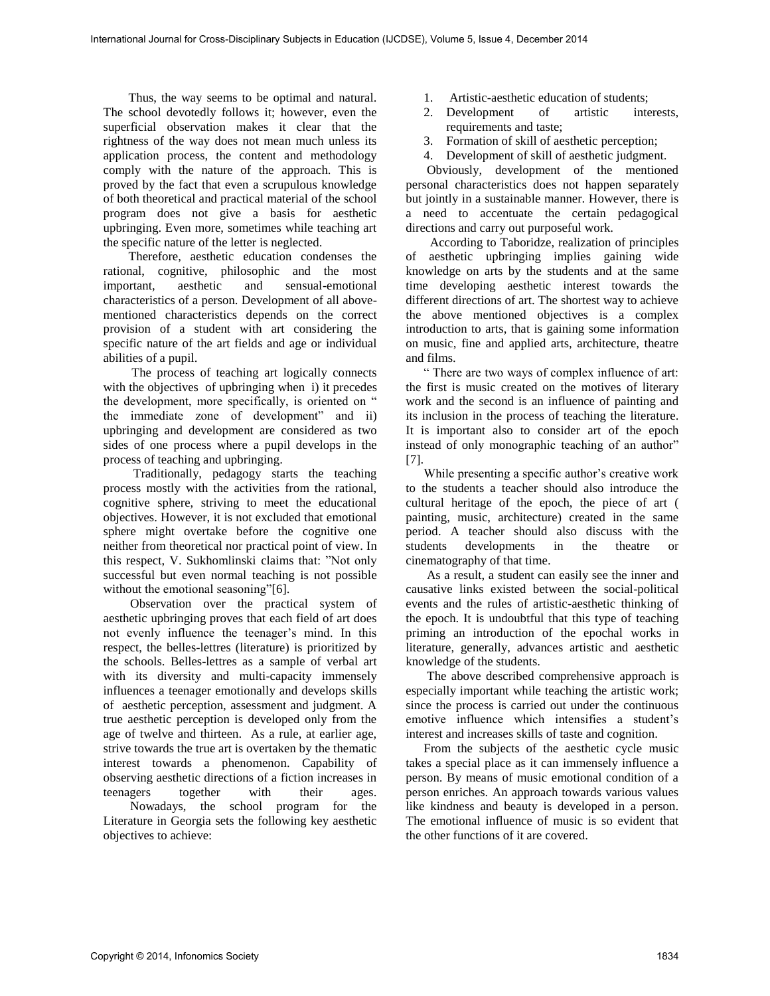Thus, the way seems to be optimal and natural. The school devotedly follows it; however, even the superficial observation makes it clear that the rightness of the way does not mean much unless its application process, the content and methodology comply with the nature of the approach. This is proved by the fact that even a scrupulous knowledge of both theoretical and practical material of the school program does not give a basis for aesthetic upbringing. Even more, sometimes while teaching art the specific nature of the letter is neglected.

 Therefore, aesthetic education condenses the rational, cognitive, philosophic and the most important, aesthetic and sensual-emotional characteristics of a person. Development of all abovementioned characteristics depends on the correct provision of a student with art considering the specific nature of the art fields and age or individual abilities of a pupil.

 The process of teaching art logically connects with the objectives of upbringing when i) it precedes the development, more specifically, is oriented on " the immediate zone of development" and ii) upbringing and development are considered as two sides of one process where a pupil develops in the process of teaching and upbringing.

 Traditionally, pedagogy starts the teaching process mostly with the activities from the rational, cognitive sphere, striving to meet the educational objectives. However, it is not excluded that emotional sphere might overtake before the cognitive one neither from theoretical nor practical point of view. In this respect, V. Sukhomlinski claims that: "Not only successful but even normal teaching is not possible without the emotional seasoning"[6].

 Observation over the practical system of aesthetic upbringing proves that each field of art does not evenly influence the teenager's mind. In this respect, the belles-lettres (literature) is prioritized by the schools. Belles-lettres as a sample of verbal art with its diversity and multi-capacity immensely influences a teenager emotionally and develops skills of aesthetic perception, assessment and judgment. A true aesthetic perception is developed only from the age of twelve and thirteen. As a rule, at earlier age, strive towards the true art is overtaken by the thematic interest towards a phenomenon. Capability of observing aesthetic directions of a fiction increases in teenagers together with their ages. Nowadays, the school program for the

Literature in Georgia sets the following key aesthetic objectives to achieve:

- 1. Artistic-aesthetic education of students;
- 2. Development of artistic interests, requirements and taste;
- 3. Formation of skill of aesthetic perception;
- 4. Development of skill of aesthetic judgment.

Obviously, development of the mentioned personal characteristics does not happen separately but jointly in a sustainable manner. However, there is a need to accentuate the certain pedagogical directions and carry out purposeful work.

 According to Taboridze, realization of principles of aesthetic upbringing implies gaining wide knowledge on arts by the students and at the same time developing aesthetic interest towards the different directions of art. The shortest way to achieve the above mentioned objectives is a complex introduction to arts, that is gaining some information on music, fine and applied arts, architecture, theatre and films.

" There are two ways of complex influence of art: the first is music created on the motives of literary work and the second is an influence of painting and its inclusion in the process of teaching the literature. It is important also to consider art of the epoch instead of only monographic teaching of an author" [7].

While presenting a specific author's creative work to the students a teacher should also introduce the cultural heritage of the epoch, the piece of art ( painting, music, architecture) created in the same period. A teacher should also discuss with the students developments in the theatre or cinematography of that time.

 As a result, a student can easily see the inner and causative links existed between the social-political events and the rules of artistic-aesthetic thinking of the epoch. It is undoubtful that this type of teaching priming an introduction of the epochal works in literature, generally, advances artistic and aesthetic knowledge of the students.

 The above described comprehensive approach is especially important while teaching the artistic work; since the process is carried out under the continuous emotive influence which intensifies a student's interest and increases skills of taste and cognition.

From the subjects of the aesthetic cycle music takes a special place as it can immensely influence a person. By means of music emotional condition of a person enriches. An approach towards various values like kindness and beauty is developed in a person. The emotional influence of music is so evident that the other functions of it are covered.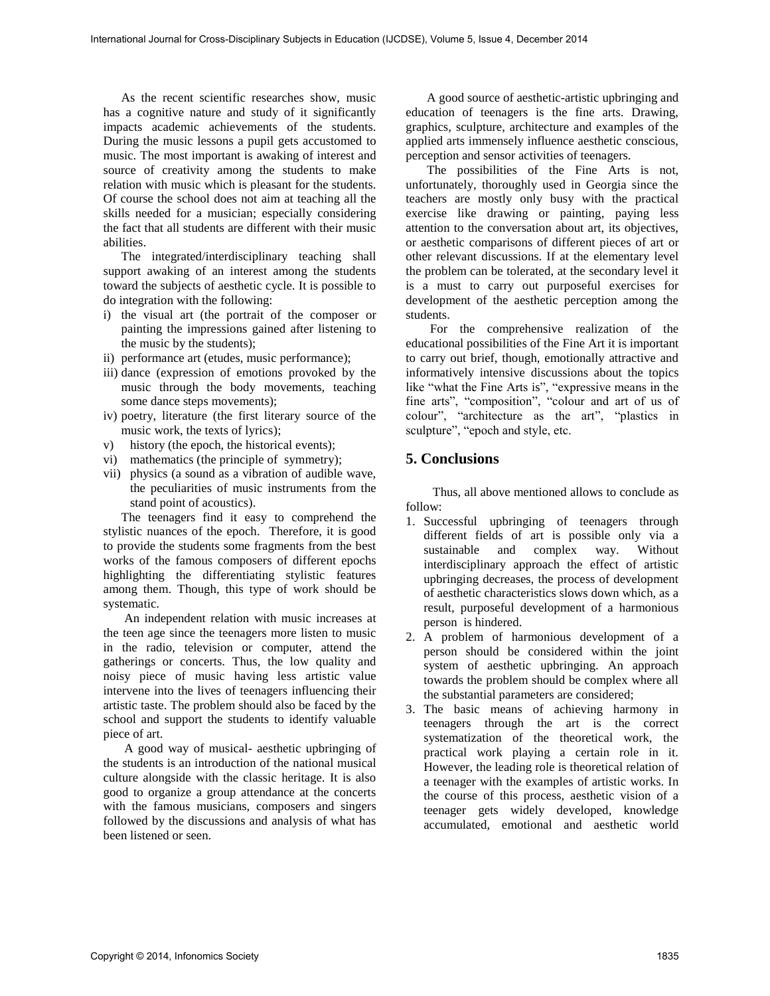As the recent scientific researches show, music has a cognitive nature and study of it significantly impacts academic achievements of the students. During the music lessons a pupil gets accustomed to music. The most important is awaking of interest and source of creativity among the students to make relation with music which is pleasant for the students. Of course the school does not aim at teaching all the skills needed for a musician; especially considering the fact that all students are different with their music abilities.

The integrated/interdisciplinary teaching shall support awaking of an interest among the students toward the subjects of aesthetic cycle. It is possible to do integration with the following:

- i) the visual art (the portrait of the composer or painting the impressions gained after listening to the music by the students);
- ii) performance art (etudes, music performance);
- iii) dance (expression of emotions provoked by the music through the body movements, teaching some dance steps movements);
- iv) poetry, literature (the first literary source of the music work, the texts of lyrics);
- v) history (the epoch, the historical events);
- vi) mathematics (the principle of symmetry);
- vii) physics (a sound as a vibration of audible wave, the peculiarities of music instruments from the stand point of acoustics).

The teenagers find it easy to comprehend the stylistic nuances of the epoch. Therefore, it is good to provide the students some fragments from the best works of the famous composers of different epochs highlighting the differentiating stylistic features among them. Though, this type of work should be systematic.

 An independent relation with music increases at the teen age since the teenagers more listen to music in the radio, television or computer, attend the gatherings or concerts. Thus, the low quality and noisy piece of music having less artistic value intervene into the lives of teenagers influencing their artistic taste. The problem should also be faced by the school and support the students to identify valuable piece of art.

 A good way of musical- aesthetic upbringing of the students is an introduction of the national musical culture alongside with the classic heritage. It is also good to organize a group attendance at the concerts with the famous musicians, composers and singers followed by the discussions and analysis of what has been listened or seen.

 A good source of aesthetic-artistic upbringing and education of teenagers is the fine arts. Drawing, graphics, sculpture, architecture and examples of the applied arts immensely influence aesthetic conscious, perception and sensor activities of teenagers.

 The possibilities of the Fine Arts is not, unfortunately, thoroughly used in Georgia since the teachers are mostly only busy with the practical exercise like drawing or painting, paying less attention to the conversation about art, its objectives, or aesthetic comparisons of different pieces of art or other relevant discussions. If at the elementary level the problem can be tolerated, at the secondary level it is a must to carry out purposeful exercises for development of the aesthetic perception among the students.

 For the comprehensive realization of the educational possibilities of the Fine Art it is important to carry out brief, though, emotionally attractive and informatively intensive discussions about the topics like "what the Fine Arts is", "expressive means in the fine arts", "composition", "colour and art of us of colour", "architecture as the art", "plastics in sculpture", "epoch and style, etc.

### **5. Conclusions**

Thus, all above mentioned allows to conclude as follow:

- 1. Successful upbringing of teenagers through different fields of art is possible only via a sustainable and complex way. Without interdisciplinary approach the effect of artistic upbringing decreases, the process of development of aesthetic characteristics slows down which, as a result, purposeful development of a harmonious person is hindered.
- 2. A problem of harmonious development of a person should be considered within the joint system of aesthetic upbringing. An approach towards the problem should be complex where all the substantial parameters are considered;
- 3. The basic means of achieving harmony in teenagers through the art is the correct systematization of the theoretical work, the practical work playing a certain role in it. However, the leading role is theoretical relation of a teenager with the examples of artistic works. In the course of this process, aesthetic vision of a teenager gets widely developed, knowledge accumulated, emotional and aesthetic world